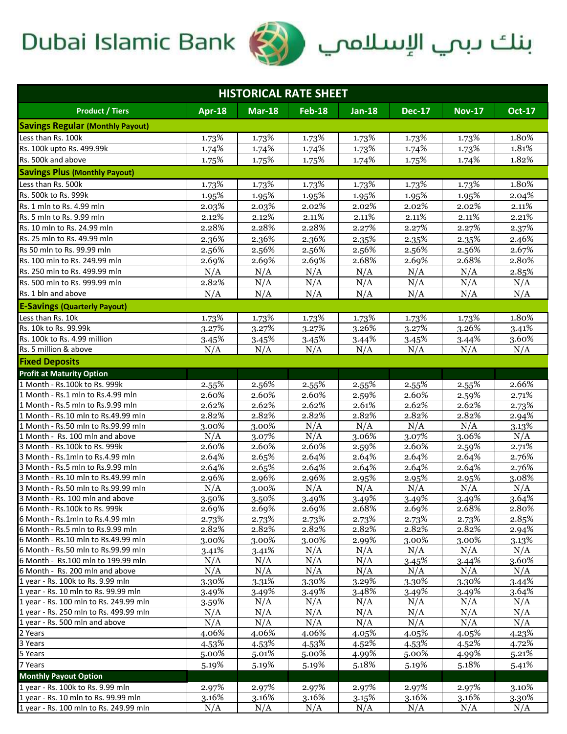## Dubai Islamic Bank



| <b>HISTORICAL RATE SHEET</b>                                              |                |                |                |                   |                |                |                |  |  |  |
|---------------------------------------------------------------------------|----------------|----------------|----------------|-------------------|----------------|----------------|----------------|--|--|--|
| <b>Product / Tiers</b>                                                    | <b>Apr-18</b>  | <b>Mar-18</b>  | <b>Feb-18</b>  | <b>Jan-18</b>     | <b>Dec-17</b>  | <b>Nov-17</b>  | <b>Oct-17</b>  |  |  |  |
| <b>Savings Regular (Monthly Payout)</b>                                   |                |                |                |                   |                |                |                |  |  |  |
| Less than Rs. 100k                                                        | 1.73%          | 1.73%          | 1.73%          | 1.73%             | 1.73%          | 1.73%          | 1.80%          |  |  |  |
| Rs. 100k upto Rs. 499.99k                                                 | 1.74%          | 1.74%          | 1.74%          | 1.73%             | 1.74%          | 1.73%          | 1.81%          |  |  |  |
| Rs. 500k and above                                                        | 1.75%          | 1.75%          | 1.75%          | 1.74%             | 1.75%          | 1.74%          | 1.82%          |  |  |  |
| <b>Savings Plus (Monthly Payout)</b>                                      |                |                |                |                   |                |                |                |  |  |  |
| Less than Rs. 500k                                                        | 1.73%          | 1.73%          | 1.73%          | 1.73%             | 1.73%          | 1.73%          | 1.80%          |  |  |  |
| Rs. 500k to Rs. 999k                                                      | 1.95%          | 1.95%          | 1.95%          | 1.95%             | 1.95%          | 1.95%          | 2.04%          |  |  |  |
| Rs. 1 mln to Rs. 4.99 mln                                                 | 2.03%          | 2.03%          | 2.02%          | 2.02%             | 2.02%          | 2.02%          | 2.11%          |  |  |  |
| Rs. 5 mln to Rs. 9.99 mln                                                 | 2.12%          | 2.12%          | 2.11%          | 2.11%             | 2.11%          | 2.11%          | 2.21%          |  |  |  |
| Rs. 10 mln to Rs. 24.99 mln                                               | 2.28%          | 2.28%          | 2.28%          | 2.27%             | 2.27%          | 2.27%          | 2.37%          |  |  |  |
| Rs. 25 mln to Rs. 49.99 mln                                               | 2.36%          | 2.36%          | 2.36%          | 2.35%             | 2.35%          | 2.35%          | 2.46%          |  |  |  |
| Rs 50 mln to Rs. 99.99 mln                                                | 2.56%          | 2.56%          | 2.56%          | 2.56%             | 2.56%          | 2.56%          | 2.67%          |  |  |  |
| Rs. 100 mln to Rs. 249.99 mln                                             | 2.69%          | 2.69%          | 2.69%          | 2.68%             | 2.69%          | 2.68%          | 2.80%          |  |  |  |
| Rs. 250 mln to Rs. 499.99 mln                                             | N/A            | N/A            | N/A            | N/A               | N/A            | N/A            | 2.85%          |  |  |  |
| Rs. 500 mln to Rs. 999.99 mln                                             | 2.82%          | N/A            | N/A            | N/A               | N/A            | N/A            | N/A            |  |  |  |
| Rs. 1 bln and above                                                       | N/A            | N/A            | N/A            | N/A               | N/A            | N/A            | N/A            |  |  |  |
| <b>E-Savings (Quarterly Payout)</b>                                       |                |                |                |                   |                |                |                |  |  |  |
| Less than Rs. 10k                                                         |                |                |                |                   |                |                |                |  |  |  |
| Rs. 10k to Rs. 99.99k                                                     | 1.73%<br>3.27% | 1.73%<br>3.27% | 1.73%<br>3.27% | 1.73%<br>3.26%    | 1.73%<br>3.27% | 1.73%<br>3.26% | 1.80%          |  |  |  |
| Rs. 100k to Rs. 4.99 million                                              |                | 3.45%          | 3.45%          |                   |                |                | 3.41%<br>3.60% |  |  |  |
| Rs. 5 million & above                                                     | 3.45%<br>N/A   | N/A            | N/A            | 3.44%<br>N/A      | 3.45%<br>N/A   | 3.44%<br>N/A   | N/A            |  |  |  |
| <b>Fixed Deposits</b>                                                     |                |                |                |                   |                |                |                |  |  |  |
|                                                                           |                |                |                |                   |                |                |                |  |  |  |
| <b>Profit at Maturity Option</b><br>1 Month - Rs.100k to Rs. 999k         |                |                |                |                   |                |                |                |  |  |  |
|                                                                           | 2.55%<br>2.60% | 2.56%          | 2.55%<br>2.60% | 2.55%             | 2.55%<br>2.60% | 2.55%<br>2.59% | 2.66%          |  |  |  |
| 1 Month - Rs.1 mln to Rs.4.99 mln<br>1 Month - Rs.5 mln to Rs.9.99 mln    | 2.62%          | 2.60%<br>2.62% | 2.62%          | 2.59%<br>2.61%    | 2.62%          | 2.62%          | 2.71%<br>2.73% |  |  |  |
| 1 Month - Rs.10 mln to Rs.49.99 mln                                       | 2.82%          | 2.82%          | 2.82%          | 2.82%             | 2.82%          | 2.82%          | 2.94%          |  |  |  |
| 1 Month - Rs.50 mln to Rs.99.99 mln                                       | 3.00%          | 3.00%          | N/A            | N/A               | N/A            | N/A            | $3.13\%$       |  |  |  |
| 1 Month - Rs. 100 mln and above                                           | N/A            | 3.07%          | N/A            | 3.06%             | 3.07%          | 3.06%          | N/A            |  |  |  |
| 3 Month - Rs. 100k to Rs. 999k                                            | 2.60%          | 2.60%          | 2.60%          | 2.59%             | 2.60%          | 2.59%          | $2.71\%$       |  |  |  |
| 3 Month - Rs.1mln to Rs.4.99 mln                                          | 2.64%          | 2.65%          | 2.64%          | 2.64%             | 2.64%          | 2.64%          | 2.76%          |  |  |  |
| 3 Month - Rs.5 mln to Rs.9.99 mln                                         | 2.64%          | 2.65%          | 2.64%          | 2.64%             | 2.64%          | 2.64%          | 2.76%          |  |  |  |
| 3 Month - Rs.10 mln to Rs.49.99 mln                                       | $2.96\%$       | 2.96%          | 2.96%          | 2.95%             | 2.95%          | 2.95%          | 3.08%          |  |  |  |
| 3 Month - Rs.50 mln to Rs.99.99 mln                                       | N/A            | 3.00%          | N/A            | N/A               | N/A            | N/A            | N/A            |  |  |  |
| 3 Month - Rs. 100 mln and above                                           | $3.50\%$       | $3.50\%$       | 3.49%          | $3.49\%$          | $3.49\%$       | 3.49%          | 3.64%          |  |  |  |
| 6 Month - Rs.100k to Rs. 999k                                             | 2.69%          | 2.69%          | 2.69%          | 2.68%             | 2.69%          | 2.68%          | 2.80%          |  |  |  |
| 6 Month - Rs.1mln to Rs.4.99 mln                                          | 2.73%          | 2.73%          | 2.73%          | 2.73%             | 2.73%          | 2.73%          | 2.85%          |  |  |  |
| 6 Month - Rs.5 mln to Rs.9.99 mln                                         | 2.82%          | 2.82%          | 2.82%          | 2.82%             | 2.82%          | 2.82%          | 2.94%          |  |  |  |
| 6 Month - Rs.10 mln to Rs.49.99 mln                                       | 3.00%          | 3.00%          | 3.00%          | 2.99%             | 3.00%          | 3.00%          | 3.13%          |  |  |  |
| 6 Month - Rs.50 mln to Rs.99.99 mln                                       | 3.41%          | 3.41%          | N/A            | N/A               | N/A            | N/A            | N/A            |  |  |  |
| 6 Month - Rs.100 mln to 199.99 mln                                        | N/A            | N/A            | N/A            | N/A               | 3.45%          | 3.44%          | 3.60%          |  |  |  |
| 6 Month - Rs. 200 mln and above                                           | N/A            | N/A            | N/A            | N/A               | N/A            | N/A            | N/A            |  |  |  |
| 1 year - Rs. 100k to Rs. 9.99 mln<br>1 year - Rs. 10 mln to Rs. 99.99 mln | 3.30%          | 3.31%          | 3.30%          | 3.29%<br>$3.48\%$ | 3.30%          | 3.30%          | 3.44%<br>3.64% |  |  |  |
| 1 year - Rs. 100 mln to Rs. 249.99 mln                                    | 3.49%          | 3.49%<br>N/A   | 3.49%<br>N/A   | N/A               | 3.49%<br>N/A   | 3.49%<br>N/A   | N/A            |  |  |  |
| 1 year - Rs. 250 mln to Rs. 499.99 mln                                    | 3.59%<br>N/A   | N/A            | N/A            | N/A               | N/A            | N/A            | N/A            |  |  |  |
| 1 year - Rs. 500 mln and above                                            | N/A            | N/A            | N/A            | N/A               | N/A            | N/A            | N/A            |  |  |  |
| 2 Years                                                                   | 4.06%          | 4.06%          | 4.06%          | 4.05%             | 4.05%          | 4.05%          | 4.23%          |  |  |  |
| 3 Years                                                                   | 4.53%          | 4.53%          | 4.53%          | 4.52%             | 4.53%          | 4.52%          | 4.72%          |  |  |  |
| 5 Years                                                                   | 5.00%          | 5.01%          | 5.00%          | 4.99%             | 5.00%          | 4.99%          | 5.21%          |  |  |  |
| 7 Years                                                                   | 5.19%          | 5.19%          | 5.19%          | 5.18%             | 5.19%          | 5.18%          | 5.41%          |  |  |  |
| <b>Monthly Payout Option</b>                                              |                |                |                |                   |                |                |                |  |  |  |
| 1 year - Rs. 100k to Rs. 9.99 mln                                         | 2.97%          | 2.97%          | 2.97%          | 2.97%             | 2.97%          | 2.97%          | 3.10%          |  |  |  |
| 1 year - Rs. 10 mln to Rs. 99.99 mln                                      | 3.16%          | 3.16%          | 3.16%          | 3.15%             | 3.16%          | 3.16%          | 3.30%          |  |  |  |
| 1 year - Rs. 100 mln to Rs. 249.99 mln                                    | N/A            | N/A            | N/A            | N/A               | N/A            | N/A            | N/A            |  |  |  |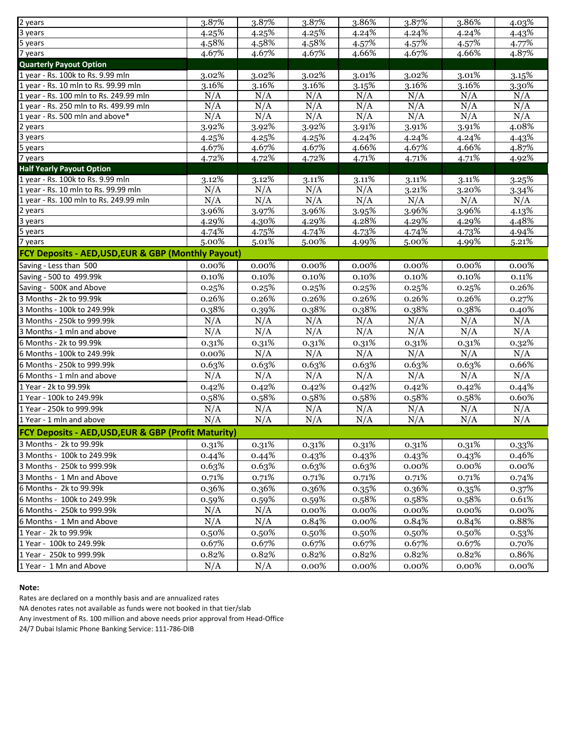| 2 years                                               | 3.87%    | 3.87%    | 3.87%    | 3.86%    | 3.87%    | 3.86%    | 4.03%    |  |  |  |
|-------------------------------------------------------|----------|----------|----------|----------|----------|----------|----------|--|--|--|
| 3 years                                               | 4.25%    | 4.25%    | 4.25%    | 4.24%    | 4.24%    | 4.24%    | 4.43%    |  |  |  |
| 5 years                                               | 4.58%    | 4.58%    | 4.58%    | 4.57%    | 4.57%    | 4.57%    | 4.77%    |  |  |  |
| 7 years                                               | 4.67%    | 4.67%    | 4.67%    | 4.66%    | 4.67%    | 4.66%    | 4.87%    |  |  |  |
| <b>Quarterly Payout Option</b>                        |          |          |          |          |          |          |          |  |  |  |
| 1 year - Rs. 100k to Rs. 9.99 mln                     | 3.02%    | 3.02%    | 3.02%    | 3.01%    | 3.02%    | 3.01%    | 3.15%    |  |  |  |
| 1 year - Rs. 10 mln to Rs. 99.99 mln                  | 3.16%    | 3.16%    | 3.16%    | 3.15%    | 3.16%    | $3.16\%$ | 3.30%    |  |  |  |
| 1 year - Rs. 100 mln to Rs. 249.99 mln                | N/A      | N/A      | N/A      | N/A      | N/A      | N/A      | N/A      |  |  |  |
| 1 year - Rs. 250 mln to Rs. 499.99 mln                | N/A      | N/A      | N/A      | N/A      | N/A      | N/A      | N/A      |  |  |  |
| 1 year - Rs. 500 mln and above*                       | N/A      | N/A      | N/A      | N/A      | N/A      | N/A      | N/A      |  |  |  |
| 2 years                                               | 3.92%    | 3.92%    | 3.92%    | 3.91%    | 3.91%    | 3.91%    | 4.08%    |  |  |  |
| 3 years                                               | 4.25%    | 4.25%    | 4.25%    | 4.24%    | 4.24%    | 4.24%    | 4.43%    |  |  |  |
| 5 years                                               | 4.67%    | 4.67%    | 4.67%    | 4.66%    | 4.67%    | 4.66%    | 4.87%    |  |  |  |
| 7 years                                               | 4.72%    | 4.72%    | 4.72%    | 4.71%    | $4.71\%$ | 4.71%    | 4.92%    |  |  |  |
| <b>Half Yearly Payout Option</b>                      |          |          |          |          |          |          |          |  |  |  |
| 1 year - Rs. 100k to Rs. 9.99 mln                     | 3.12%    | 3.12%    | 3.11%    | 3.11%    | 3.11%    | 3.11%    | 3.25%    |  |  |  |
| 1 year - Rs. 10 mln to Rs. 99.99 mln                  | N/A      | N/A      | N/A      | N/A      | 3.21%    | 3.20%    | 3.34%    |  |  |  |
| 1 year - Rs. 100 mln to Rs. 249.99 mln                | N/A      | N/A      | N/A      | N/A      | N/A      | N/A      | N/A      |  |  |  |
| 2 years                                               | $3.96\%$ | 3.97%    | 3.96%    | 3.95%    | 3.96%    | 3.96%    | 4.13%    |  |  |  |
| 3 years                                               | 4.29%    | 4.30%    | 4.29%    | 4.28%    | 4.29%    | 4.29%    | 4.48%    |  |  |  |
| 5 years                                               | 4.74%    | 4.75%    | 4.74%    | 4.73%    | 4.74%    | 4.73%    | 4.94%    |  |  |  |
| 7 years                                               | 5.00%    | 5.01%    | 5.00%    | 4.99%    | 5.00%    | 4.99%    | 5.21%    |  |  |  |
| FCY Deposits - AED, USD, EUR & GBP (Monthly Payout)   |          |          |          |          |          |          |          |  |  |  |
| Saving - Less than 500                                | $0.00\%$ | 0.00%    | $0.00\%$ | 0.00%    | $0.00\%$ | $0.00\%$ | $0.00\%$ |  |  |  |
| Saving - 500 to 499.99k                               | 0.10%    | $0.10\%$ | 0.10%    | 0.10%    | 0.10%    | 0.10%    | 0.11%    |  |  |  |
| Saving - 500K and Above                               | 0.25%    | 0.25%    | 0.25%    | 0.25%    | 0.25%    | 0.25%    | 0.26%    |  |  |  |
| 3 Months - 2k to 99.99k                               | 0.26%    | 0.26%    | 0.26%    | 0.26%    | 0.26%    | 0.26%    | 0.27%    |  |  |  |
| 3 Months - 100k to 249.99k                            | 0.38%    | 0.39%    | 0.38%    | 0.38%    | 0.38%    | 0.38%    | 0.40%    |  |  |  |
| 3 Months - 250k to 999.99k                            | N/A      | N/A      | N/A      | N/A      | N/A      | N/A      | N/A      |  |  |  |
| 3 Months - 1 mln and above                            | N/A      | N/A      | N/A      | N/A      | N/A      | N/A      | N/A      |  |  |  |
| 6 Months - 2k to 99.99k                               | 0.31%    | 0.31%    | 0.31%    | 0.31%    | 0.31%    | 0.31%    | 0.32%    |  |  |  |
| 6 Months - 100k to 249.99k                            | $0.00\%$ | N/A      | N/A      | N/A      | N/A      | N/A      | N/A      |  |  |  |
| 6 Months - 250k to 999.99k                            | 0.63%    | 0.63%    | 0.63%    | 0.63%    | 0.63%    | 0.63%    | 0.66%    |  |  |  |
| 6 Months - 1 mln and above                            | N/A      | N/A      | N/A      | N/A      | N/A      | N/A      | N/A      |  |  |  |
| 1 Year - 2k to 99.99k                                 | 0.42%    | 0.42%    | 0.42%    | 0.42%    | 0.42%    | 0.42%    | 0.44%    |  |  |  |
| 1 Year - 100k to 249.99k                              | 0.58%    | 0.58%    | 0.58%    | 0.58%    | 0.58%    | 0.58%    | 0.60%    |  |  |  |
| 1 Year - 250k to 999.99k                              | N/A      | N/A      | N/A      | N/A      | N/A      | N/A      | N/A      |  |  |  |
| 1 Year - 1 mln and above                              | N/A      | N/A      | N/A      | N/A      | N/A      | N/A      | N/A      |  |  |  |
| FCY Deposits - AED, USD, EUR & GBP (Profit Maturity)  |          |          |          |          |          |          |          |  |  |  |
|                                                       |          |          |          |          |          |          |          |  |  |  |
| 3 Months - 2k to 99.99k<br>3 Months - 100k to 249.99k | 0.31%    | 0.31%    | 0.31%    | 0.31%    | 0.31%    | 0.31%    | 0.33%    |  |  |  |
|                                                       | 0.44%    | 0.44%    | 0.43%    | 0.43%    | 0.43%    | 0.43%    | 0.46%    |  |  |  |
| 3 Months - 250k to 999.99k                            | 0.63%    | 0.63%    | 0.63%    | 0.63%    | 0.00%    | 0.00%    | 0.00%    |  |  |  |
| 3 Months - 1 Mn and Above                             | 0.71%    | 0.71%    | 0.71%    | 0.71%    | 0.71%    | 0.71%    | 0.74%    |  |  |  |
| 6 Months - 2k to 99.99k                               | 0.36%    | 0.36%    | 0.36%    | 0.35%    | 0.36%    | 0.35%    | 0.37%    |  |  |  |
| 6 Months - 100k to 249.99k                            | 0.59%    | 0.59%    | 0.59%    | 0.58%    | 0.58%    | 0.58%    | 0.61%    |  |  |  |
| 6 Months - 250k to 999.99k                            | N/A      | N/A      | $0.00\%$ | 0.00%    | 0.00%    | 0.00%    | 0.00%    |  |  |  |
| 6 Months - 1 Mn and Above                             | N/A      | N/A      | 0.84%    | $0.00\%$ | 0.84%    | 0.84%    | 0.88%    |  |  |  |
| 1 Year - 2k to 99.99k                                 | 0.50%    | 0.50%    | 0.50%    | 0.50%    | 0.50%    | 0.50%    | 0.53%    |  |  |  |
| 1 Year - 100k to 249.99k                              | 0.67%    | 0.67%    | 0.67%    | 0.67%    | 0.67%    | 0.67%    | 0.70%    |  |  |  |
| 1 Year - 250k to 999.99k                              | 0.82%    | 0.82%    | 0.82%    | 0.82%    | 0.82%    | 0.82%    | 0.86%    |  |  |  |
| 1 Year - 1 Mn and Above                               | N/A      | N/A      | $0.00\%$ | $0.00\%$ | 0.00%    | 0.00%    | 0.00%    |  |  |  |

### **Note:**

Rates are declared on a monthly basis and are annualized rates

NA denotes rates not available as funds were not booked in that tier/slab

Any investment of Rs. 100 million and above needs prior approval from Head-Office

24/7 Dubai Islamic Phone Banking Service: 111-786-DIB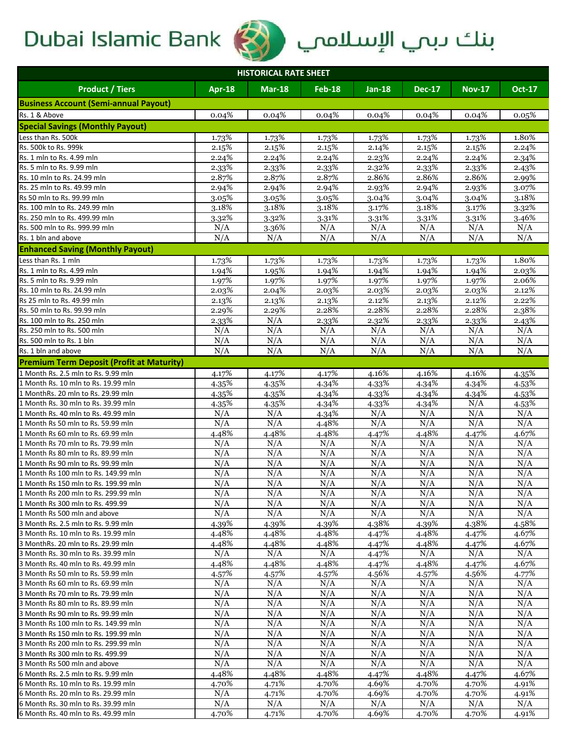

# Dubai Islamic Bank (منك دبي الإسلامي الله عنها

| <b>HISTORICAL RATE SHEET</b>                                              |                |                  |                |                |                |                |                |  |  |
|---------------------------------------------------------------------------|----------------|------------------|----------------|----------------|----------------|----------------|----------------|--|--|
| <b>Product / Tiers</b>                                                    | <b>Apr-18</b>  | <b>Mar-18</b>    | $Feb-18$       | $Jan-18$       | <b>Dec-17</b>  | <b>Nov-17</b>  | <b>Oct-17</b>  |  |  |
| <b>Business Account (Semi-annual Payout)</b>                              |                |                  |                |                |                |                |                |  |  |
| Rs. 1 & Above                                                             | 0.04%          | 0.04%            | 0.04%          | 0.04%          | 0.04%          | 0.04%          | 0.05%          |  |  |
| <b>Special Savings (Monthly Payout)</b>                                   |                |                  |                |                |                |                |                |  |  |
| Less than Rs. 500k                                                        | 1.73%          | 1.73%            | 1.73%          | 1.73%          | 1.73%          | 1.73%          | 1.80%          |  |  |
| Rs. 500k to Rs. 999k                                                      | 2.15%          | 2.15%            | 2.15%          | 2.14%          | 2.15%          | 2.15%          | 2.24%          |  |  |
| Rs. 1 mln to Rs. 4.99 mln                                                 | 2.24%          | 2.24%            | 2.24%          | 2.23%          | 2.24%          | 2.24%          | 2.34%          |  |  |
| Rs. 5 mln to Rs. 9.99 mln                                                 | 2.33%          | 2.33%            | 2.33%          | 2.32%          | 2.33%          | 2.33%          | 2.43%          |  |  |
| Rs. 10 mln to Rs. 24.99 mln                                               | 2.87%          | 2.87%            | 2.87%          | 2.86%          | 2.86%          | 2.86%          | 2.99%          |  |  |
| Rs. 25 mln to Rs. 49.99 mln                                               | 2.94%          | 2.94%            | 2.94%          | 2.93%          | 2.94%          | 2.93%          | 3.07%          |  |  |
| Rs 50 mln to Rs. 99.99 mln                                                | 3.05%          | 3.05%            | 3.05%          | 3.04%          | 3.04%          | 3.04%          | 3.18%          |  |  |
| Rs. 100 mln to Rs. 249.99 mln                                             | 3.18%          | 3.18%            | 3.18%          | 3.17%          | 3.18%          | 3.17%          | 3.32%          |  |  |
| Rs. 250 mln to Rs. 499.99 mln                                             | 3.32%          | 3.32%            | 3.31%          | 3.31%          | 3.31%          | 3.31%          | 3.46%          |  |  |
| Rs. 500 mln to Rs. 999.99 mln                                             | N/A            | 3.36%            | N/A            | N/A            | N/A            | N/A            | N/A            |  |  |
| Rs. 1 bln and above                                                       | N/A            | N/A              | N/A            | N/A            | N/A            | N/A            | N/A            |  |  |
| <b>Enhanced Saving (Monthly Payout)</b>                                   |                |                  |                |                |                |                |                |  |  |
| Less than Rs. 1 mln                                                       | 1.73%          | 1.73%            | 1.73%          | 1.73%          | 1.73%          | 1.73%          | 1.80%          |  |  |
| Rs. 1 mln to Rs. 4.99 mln                                                 | 1.94%          | 1.95%            | 1.94%          | 1.94%          | 1.94%          | 1.94%          | 2.03%          |  |  |
| Rs. 5 mln to Rs. 9.99 mln                                                 | 1.97%          | 1.97%            | 1.97%          | 1.97%          | 1.97%          | 1.97%          | 2.06%          |  |  |
| Rs. 10 mln to Rs. 24.99 mln                                               | 2.03%          | 2.04%            | 2.03%          | 2.03%          | 2.03%          | 2.03%          | 2.12%          |  |  |
| Rs 25 mln to Rs. 49.99 mln                                                | 2.13%          | 2.13%            | 2.13%          | 2.12%          | 2.13%          | 2.12%          | 2.22%          |  |  |
| Rs. 50 mln to Rs. 99.99 mln                                               | 2.29%          | 2.29%            | 2.28%          | 2.28%          | 2.28%          | 2.28%          | 2.38%          |  |  |
| Rs. 100 mln to Rs. 250 mln                                                | 2.33%          | $\overline{N}/A$ | 2.33%<br>N/A   | 2.32%          | 2.33%<br>N/A   | 2.33%<br>N/A   | 2.43%<br>N/A   |  |  |
| Rs. 250 mln to Rs. 500 mln<br>Rs. 500 mln to Rs. 1 bln                    | N/A<br>N/A     | N/A<br>N/A       | N/A            | N/A<br>N/A     | N/A            | N/A            | N/A            |  |  |
| Rs. 1 bln and above                                                       | N/A            | N/A              | N/A            | N/A            | N/A            | N/A            | N/A            |  |  |
| <b>Premium Term Deposit (Profit at Maturity)</b>                          |                |                  |                |                |                |                |                |  |  |
| 1 Month Rs. 2.5 mln to Rs. 9.99 mln                                       |                |                  |                |                |                |                |                |  |  |
| 1 Month Rs. 10 mln to Rs. 19.99 mln                                       | 4.17%<br>4.35% | 4.17%<br>4.35%   | 4.17%<br>4.34% | 4.16%<br>4.33% | 4.16%<br>4.34% | 4.16%          | 4.35%<br>4.53% |  |  |
| 1 MonthRs. 20 mln to Rs. 29.99 mln                                        | 4.35%          | 4.35%            | 4.34%          | 4.33%          | 4.34%          | 4.34%<br>4.34% | 4.53%          |  |  |
| 1 Month Rs. 30 mln to Rs. 39.99 mln                                       | 4.35%          | 4.35%            | 4.34%          | 4.33%          | 4.34%          | N/A            | 4.53%          |  |  |
| 1 Month Rs. 40 mln to Rs. 49.99 mln                                       | N/A            | N/A              | 4.34%          | N/A            | N/A            | N/A            | N/A            |  |  |
| 1 Month Rs 50 mln to Rs. 59.99 mln                                        | N/A            | N/A              | 4.48%          | N/A            | N/A            | N/A            | N/A            |  |  |
| 1 Month Rs 60 mln to Rs. 69.99 mln                                        | 4.48%          | 4.48%            | 4.48%          | 4.47%          | 4.48%          | 4.47%          | 4.67%          |  |  |
| 1 Month Rs 70 mln to Rs. 79.99 mln                                        | N/A            | N/A              | N/A            | N/A            | N/A            | N/A            | N/A            |  |  |
| 1 Month Rs 80 mln to Rs. 89.99 mln                                        | N/A            | N/A              | N/A            | N/A            | N/A            | N/A            | N/A            |  |  |
| 1 Month Rs 90 mln to Rs. 99.99 mln                                        | N/A            | N/A              | N/A            | N/A            | N/A            | N/A            | N/A            |  |  |
| 1 Month Rs 100 mln to Rs. 149.99 mln                                      | N/A            | N/A              | N/A            | N/A            | N/A            | N/A            | N/A            |  |  |
| 1 Month Rs 150 mln to Rs. 199.99 mln                                      | N/A            | N/A              | N/A            | N/A            | N/A            | N/A            | N/A            |  |  |
| 1 Month Rs 200 mln to Rs. 299.99 mln                                      | N/A            | N/A              | N/A            | N/A            | N/A            | N/A            | N/A            |  |  |
| 1 Month Rs 300 mln to Rs. 499.99                                          | N/A            | N/A              | N/A            | N/A            | N/A            | N/A            | N/A            |  |  |
| 1 Month Rs 500 mln and above                                              | N/A            | N/A              | N/A            | N/A            | N/A            | N/A            | N/A            |  |  |
| 3 Month Rs. 2.5 mln to Rs. 9.99 mln                                       | 4.39%          | 4.39%            | 4.39%          | 4.38%          | 4.39%          | 4.38%          | 4.58%          |  |  |
| 3 Month Rs. 10 mln to Rs. 19.99 mln<br>3 MonthRs. 20 mln to Rs. 29.99 mln | 4.48%<br>4.48% | 4.48%            | 4.48%<br>4.48% | 4.47%          | 4.48%<br>4.48% | 4.47%          | 4.67%          |  |  |
| 3 Month Rs. 30 mln to Rs. 39.99 mln                                       | N/A            | 4.48%<br>N/A     | N/A            | 4.47%<br>4.47% | N/A            | 4.47%<br>N/A   | 4.67%<br>N/A   |  |  |
| 3 Month Rs. 40 mln to Rs. 49.99 mln                                       | 4.48%          | 4.48%            | 4.48%          | 4.47%          | 4.48%          | 4.47%          | 4.67%          |  |  |
| 3 Month Rs 50 mln to Rs. 59.99 mln                                        | $4.57\%$       | 4.57%            | 4.57%          | 4.56%          | 4.57%          | 4.56%          | 4.77%          |  |  |
| 3 Month Rs 60 mln to Rs. 69.99 mln                                        | N/A            | N/A              | N/A            | N/A            | N/A            | N/A            | N/A            |  |  |
| 3 Month Rs 70 mln to Rs. 79.99 mln                                        | N/A            | N/A              | N/A            | N/A            | N/A            | N/A            | N/A            |  |  |
| 3 Month Rs 80 mln to Rs. 89.99 mln                                        | N/A            | N/A              | N/A            | N/A            | N/A            | N/A            | N/A            |  |  |
| 3 Month Rs 90 mln to Rs. 99.99 mln                                        | N/A            | N/A              | N/A            | N/A            | N/A            | N/A            | N/A            |  |  |
| 3 Month Rs 100 mln to Rs. 149.99 mln                                      | N/A            | N/A              | N/A            | N/A            | N/A            | N/A            | N/A            |  |  |
| 3 Month Rs 150 mln to Rs. 199.99 mln                                      | N/A            | N/A              | N/A            | N/A            | N/A            | N/A            | N/A            |  |  |
| 3 Month Rs 200 mln to Rs. 299.99 mln                                      | N/A            | N/A              | N/A            | N/A            | N/A            | N/A            | N/A            |  |  |
| 3 Month Rs 300 mln to Rs. 499.99                                          | N/A            | N/A              | N/A            | N/A            | N/A            | N/A            | N/A            |  |  |
| 3 Month Rs 500 mln and above                                              | N/A            | N/A              | N/A            | N/A            | N/A            | N/A            | N/A            |  |  |
| 6 Month Rs. 2.5 mln to Rs. 9.99 mln                                       | 4.48%          | 4.48%            | 4.48%          | 4.47%          | 4.48%          | 4.47%          | 4.67%          |  |  |
| 6 Month Rs. 10 mln to Rs. 19.99 mln                                       | 4.70%          | 4.71%            | 4.70%          | 4.69%          | 4.70%          | 4.70%          | 4.91%          |  |  |
| 6 Month Rs. 20 mln to Rs. 29.99 mln                                       | N/A            | 4.71%            | 4.70%          | 4.69%          | 4.70%          | 4.70%          | 4.91%          |  |  |
| 6 Month Rs. 30 mln to Rs. 39.99 mln                                       | N/A            | N/A              | N/A            | N/A            | N/A            | N/A            | N/A            |  |  |
| 6 Month Rs. 40 mln to Rs. 49.99 mln                                       | 4.70%          | 4.71%            | 4.70%          | 4.69%          | 4.70%          | 4.70%          | 4.91%          |  |  |